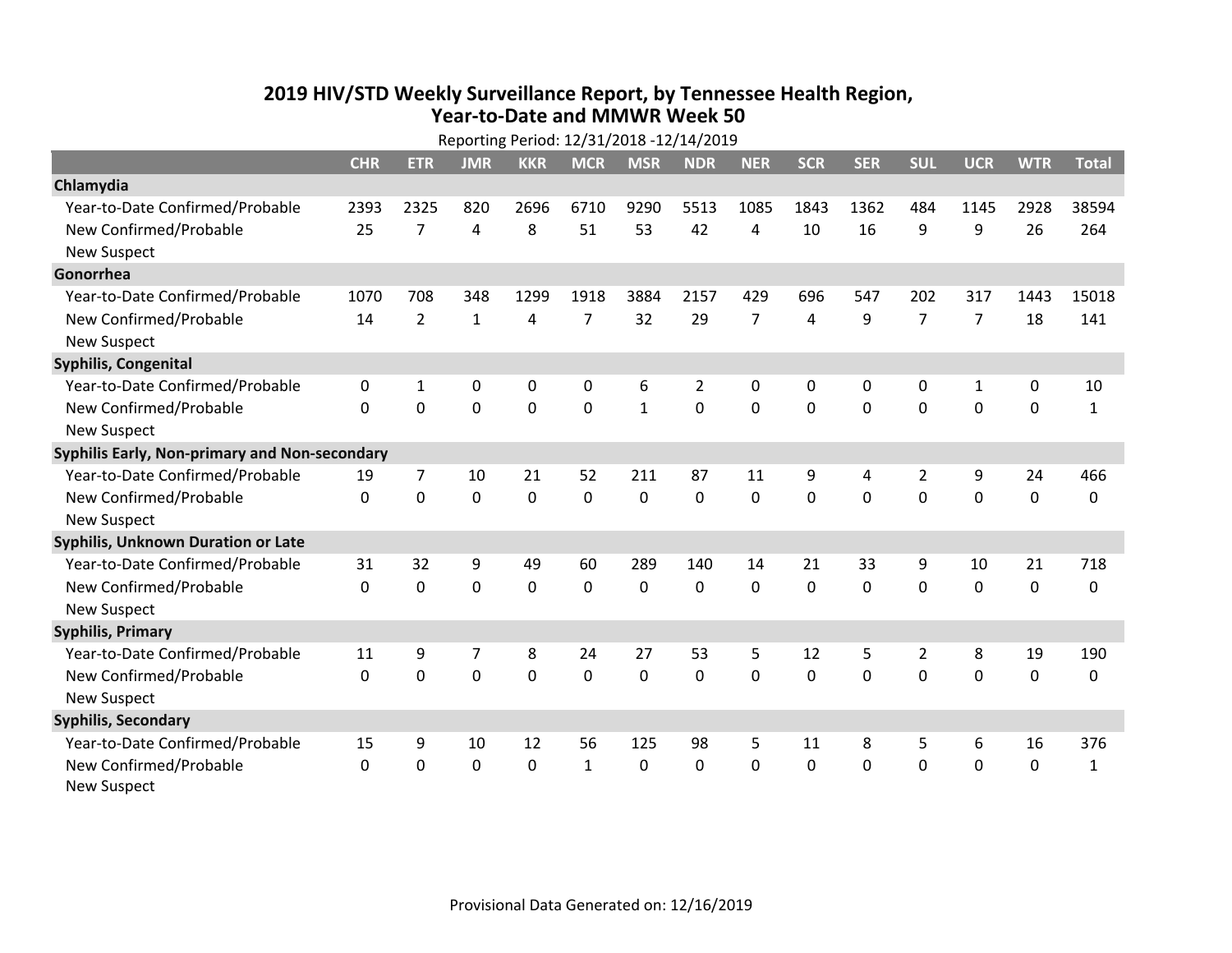## **2019 HIV /STD Weekly Surveillance Report, by Tennessee Health Region, Year‐to‐Date and MMWR Week 50**

|                                               | Reporting Period: 12/31/2018 -12/14/2019 |                |                |            |                |              |                |                |             |             |                |                |             |              |
|-----------------------------------------------|------------------------------------------|----------------|----------------|------------|----------------|--------------|----------------|----------------|-------------|-------------|----------------|----------------|-------------|--------------|
|                                               | <b>CHR</b>                               | <b>ETR</b>     | <b>JMR</b>     | <b>KKR</b> | <b>MCR</b>     | <b>MSR</b>   | <b>NDR</b>     | <b>NER</b>     | <b>SCR</b>  | <b>SER</b>  | <b>SUL</b>     | <b>UCR</b>     | <b>WTR</b>  | <b>Total</b> |
| Chlamydia                                     |                                          |                |                |            |                |              |                |                |             |             |                |                |             |              |
| Year-to-Date Confirmed/Probable               | 2393                                     | 2325           | 820            | 2696       | 6710           | 9290         | 5513           | 1085           | 1843        | 1362        | 484            | 1145           | 2928        | 38594        |
| New Confirmed/Probable                        | 25                                       | $\overline{7}$ | 4              | 8          | 51             | 53           | 42             | 4              | 10          | 16          | 9              | 9              | 26          | 264          |
| <b>New Suspect</b>                            |                                          |                |                |            |                |              |                |                |             |             |                |                |             |              |
| Gonorrhea                                     |                                          |                |                |            |                |              |                |                |             |             |                |                |             |              |
| Year-to-Date Confirmed/Probable               | 1070                                     | 708            | 348            | 1299       | 1918           | 3884         | 2157           | 429            | 696         | 547         | 202            | 317            | 1443        | 15018        |
| New Confirmed/Probable                        | 14                                       | $\overline{2}$ | $\mathbf{1}$   | 4          | $\overline{7}$ | 32           | 29             | $\overline{7}$ | 4           | 9           | $\overline{7}$ | $\overline{7}$ | 18          | 141          |
| New Suspect                                   |                                          |                |                |            |                |              |                |                |             |             |                |                |             |              |
| <b>Syphilis, Congenital</b>                   |                                          |                |                |            |                |              |                |                |             |             |                |                |             |              |
| Year-to-Date Confirmed/Probable               | 0                                        | $\mathbf{1}$   | 0              | 0          | 0              | 6            | $\overline{2}$ | 0              | 0           | $\mathbf 0$ | $\mathbf 0$    | $\mathbf{1}$   | $\pmb{0}$   | 10           |
| New Confirmed/Probable                        | $\Omega$                                 | $\mathbf 0$    | $\mathbf 0$    | 0          | 0              | $\mathbf{1}$ | 0              | 0              | 0           | 0           | $\mathbf 0$    | 0              | $\mathbf 0$ | $\mathbf{1}$ |
| <b>New Suspect</b>                            |                                          |                |                |            |                |              |                |                |             |             |                |                |             |              |
| Syphilis Early, Non-primary and Non-secondary |                                          |                |                |            |                |              |                |                |             |             |                |                |             |              |
| Year-to-Date Confirmed/Probable               | 19                                       | $\overline{7}$ | 10             | 21         | 52             | 211          | 87             | 11             | 9           | 4           | $\overline{2}$ | 9              | 24          | 466          |
| New Confirmed/Probable                        | 0                                        | $\mathbf 0$    | 0              | 0          | 0              | 0            | 0              | 0              | $\mathbf 0$ | $\mathbf 0$ | $\mathbf 0$    | 0              | $\pmb{0}$   | 0            |
| <b>New Suspect</b>                            |                                          |                |                |            |                |              |                |                |             |             |                |                |             |              |
| Syphilis, Unknown Duration or Late            |                                          |                |                |            |                |              |                |                |             |             |                |                |             |              |
| Year-to-Date Confirmed/Probable               | 31                                       | 32             | 9              | 49         | 60             | 289          | 140            | 14             | 21          | 33          | 9              | 10             | 21          | 718          |
| New Confirmed/Probable                        | $\Omega$                                 | $\mathbf 0$    | $\mathbf 0$    | 0          | $\mathbf{0}$   | 0            | $\Omega$       | $\Omega$       | $\Omega$    | 0           | $\mathbf 0$    | 0              | $\mathbf 0$ | 0            |
| <b>New Suspect</b>                            |                                          |                |                |            |                |              |                |                |             |             |                |                |             |              |
| <b>Syphilis, Primary</b>                      |                                          |                |                |            |                |              |                |                |             |             |                |                |             |              |
| Year-to-Date Confirmed/Probable               | 11                                       | 9              | $\overline{7}$ | 8          | 24             | 27           | 53             | 5              | 12          | 5           | $\overline{2}$ | 8              | 19          | 190          |
| New Confirmed/Probable                        | $\Omega$                                 | $\mathbf 0$    | $\mathbf 0$    | 0          | $\mathbf 0$    | 0            | 0              | $\Omega$       | 0           | 0           | $\mathbf 0$    | 0              | 0           | 0            |
| <b>New Suspect</b>                            |                                          |                |                |            |                |              |                |                |             |             |                |                |             |              |
| <b>Syphilis, Secondary</b>                    |                                          |                |                |            |                |              |                |                |             |             |                |                |             |              |
| Year-to-Date Confirmed/Probable               | 15                                       | 9              | 10             | 12         | 56             | 125          | 98             | 5              | 11          | 8           | 5              | 6              | 16          | 376          |
| New Confirmed/Probable                        | 0                                        | $\Omega$       | $\mathbf 0$    | 0          | $\mathbf{1}$   | 0            | 0              | 0              | 0           | 0           | $\mathbf 0$    | 0              | $\mathbf 0$ | $\mathbf{1}$ |
| <b>New Suspect</b>                            |                                          |                |                |            |                |              |                |                |             |             |                |                |             |              |